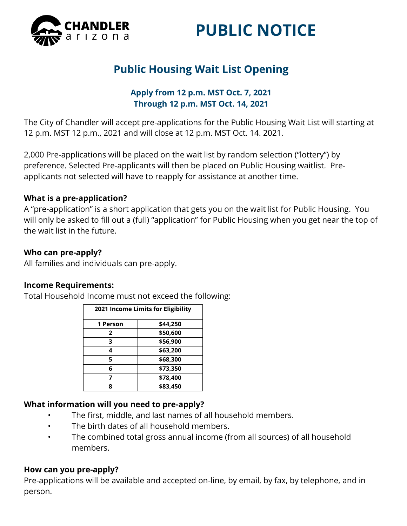

# **PUBLIC NOTICE**

# **Public Housing Wait List Opening**

#### **Apply from 12 p.m. MST Oct. 7, 2021 Through 12 p.m. MST Oct. 14, 2021**

The City of Chandler will accept pre-applications for the Public Housing Wait List will starting at 12 p.m. MST 12 p.m., 2021 and will close at 12 p.m. MST Oct. 14. 2021.

2,000 Pre-applications will be placed on the wait list by random selection ("lottery") by preference. Selected Pre-applicants will then be placed on Public Housing waitlist. Preapplicants not selected will have to reapply for assistance at another time.

#### **What is a pre-application?**

A "pre-application" is a short application that gets you on the wait list for Public Housing. You will only be asked to fill out a (full) "application" for Public Housing when you get near the top of the wait list in the future.

#### **Who can pre-apply?**

All families and individuals can pre-apply.

#### **Income Requirements:**

Total Household Income must not exceed the following:

| 2021 Income Limits for Eligibility |          |
|------------------------------------|----------|
| 1 Person                           | \$44,250 |
| 2                                  | \$50,600 |
| 3                                  | \$56,900 |
| 4                                  | \$63,200 |
| 5                                  | \$68,300 |
| 6                                  | \$73,350 |
|                                    | \$78,400 |
| Ջ                                  | \$83,450 |

#### **What information will you need to pre-apply?**

- The first, middle, and last names of all household members.
- The birth dates of all household members.
- The combined total gross annual income (from all sources) of all household members.

#### **How can you pre-apply?**

Pre-applications will be available and accepted on-line, by email, by fax, by telephone, and in person.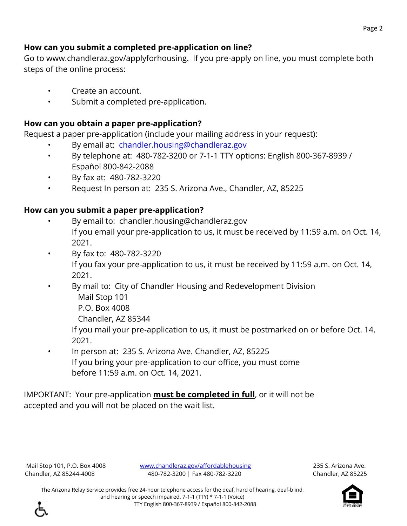## **How can you submit a completed pre-application on line?**

Go to www.chandleraz.gov/applyforhousing. If you pre-apply on line, you must complete both steps of the online process:

- Create an account.
- Submit a completed pre-application.

# **How can you obtain a paper pre-application?**

Request a paper pre-application (include your mailing address in your request):

- By email at: [chandler.housing@chandleraz.gov](mailto:chandler.housing@chandleraz.gov)
- By telephone at: 480-782-3200 or 7-1-1 TTY options: English 800-367-8939 / Español 800-842-2088
- By fax at: 480-782-3220
- Request In person at: 235 S. Arizona Ave., Chandler, AZ, 85225

# **How can you submit a paper pre-application?**

- By email to: chandler.housing@chandleraz.gov If you email your pre-application to us, it must be received by 11:59 a.m. on Oct. 14, 2021.
- By fax to: 480-782-3220

If you fax your pre-application to us, it must be received by 11:59 a.m. on Oct. 14, 2021.

- By mail to: City of Chandler Housing and Redevelopment Division Mail Stop 101
	- P.O. Box 4008

Chandler, AZ 85344

If you mail your pre-application to us, it must be postmarked on or before Oct. 14, 2021.

• In person at: 235 S. Arizona Ave. Chandler, AZ, 85225 If you bring your pre-application to our office, you must come before 11:59 a.m. on Oct. 14, 2021.

IMPORTANT: Your pre-application **must be completed in full**, or it will not be accepted and you will not be placed on the wait list.

Mail Stop 101, P.O. Box 4008 [www.chandleraz.gov/affordablehousing](http://www.chandleraz.gov/affordablehousing) 235 S. Arizona Ave. Chandler, AZ 85244-4008 480-782-3200 | Fax 480-782-3220 Chandler, AZ 85225